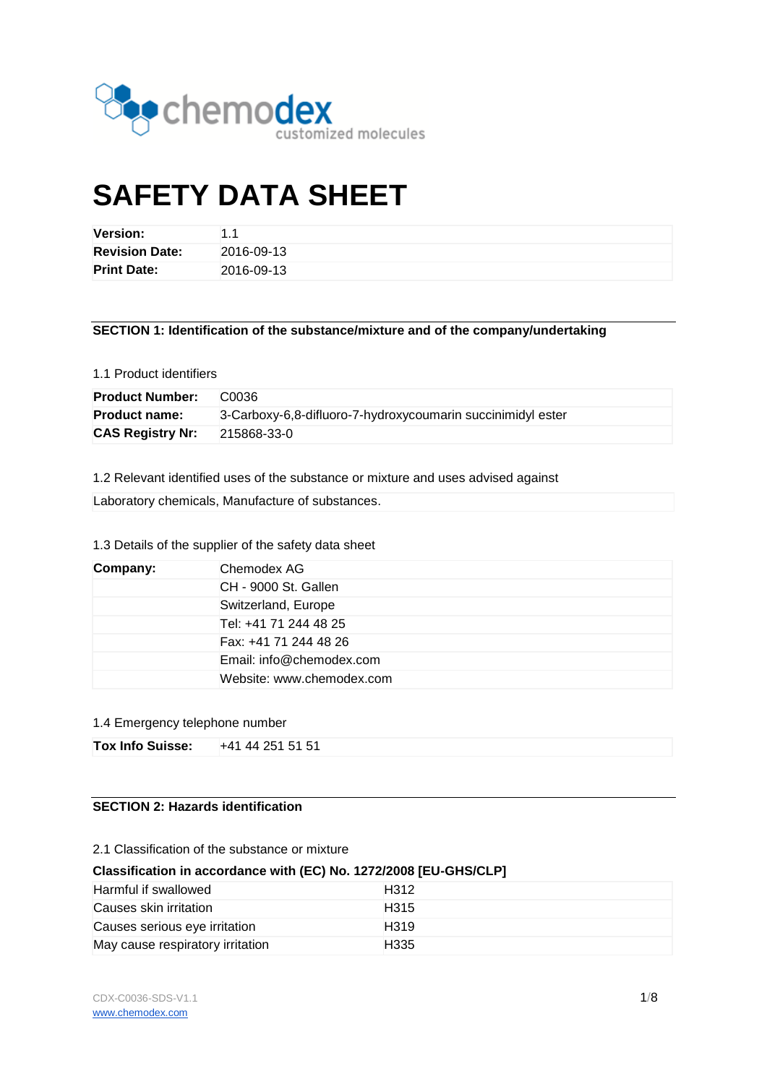

# **SAFETY DATA SHEET**

| <b>Version:</b>       |            |
|-----------------------|------------|
| <b>Revision Date:</b> | 2016-09-13 |
| <b>Print Date:</b>    | 2016-09-13 |

## **SECTION 1: Identification of the substance/mixture and of the company/undertaking**

## 1.1 Product identifiers

| <b>Product Number:</b>  | C <sub>0036</sub>                                           |
|-------------------------|-------------------------------------------------------------|
| <b>Product name:</b>    | 3-Carboxy-6,8-difluoro-7-hydroxycoumarin succinimidyl ester |
| <b>CAS Registry Nr:</b> | 215868-33-0                                                 |

1.2 Relevant identified uses of the substance or mixture and uses advised against

Laboratory chemicals, Manufacture of substances.

## 1.3 Details of the supplier of the safety data sheet

| Chemodex AG<br>Company: |                           |  |
|-------------------------|---------------------------|--|
|                         | CH - 9000 St. Gallen      |  |
|                         | Switzerland, Europe       |  |
|                         | Tel: +41 71 244 48 25     |  |
|                         | Fax: +41 71 244 48 26     |  |
|                         | Email: info@chemodex.com  |  |
|                         | Website: www.chemodex.com |  |

#### 1.4 Emergency telephone number

| <b>Tox Info Suisse:</b> | +41 44 251 51 51 |
|-------------------------|------------------|
|-------------------------|------------------|

## **SECTION 2: Hazards identification**

#### 2.1 Classification of the substance or mixture

## **Classification in accordance with (EC) No. 1272/2008 [EU-GHS/CLP]**

| Harmful if swallowed             | H <sub>3</sub> 12 |
|----------------------------------|-------------------|
| Causes skin irritation           | H <sub>315</sub>  |
| Causes serious eye irritation    | H <sub>319</sub>  |
| May cause respiratory irritation | H335              |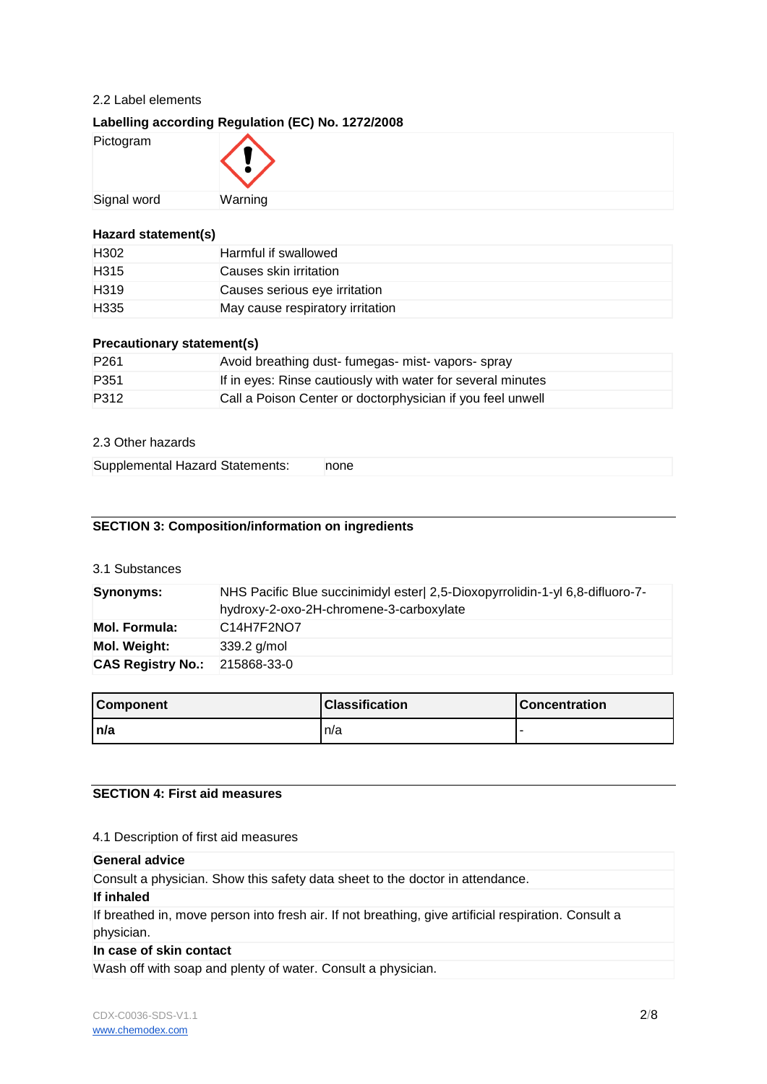## 2.2 Label elements

## **Labelling according Regulation (EC) No. 1272/2008**

| Pictogram   |         |
|-------------|---------|
| Signal word | Warning |

## **Hazard statement(s)**

| H <sub>302</sub> | Harmful if swallowed             |
|------------------|----------------------------------|
| H <sub>315</sub> | Causes skin irritation           |
| H <sub>319</sub> | Causes serious eye irritation    |
| H <sub>335</sub> | May cause respiratory irritation |

## **Precautionary statement(s)**

| P <sub>261</sub> | Avoid breathing dust-fumegas-mist-vapors-spray              |
|------------------|-------------------------------------------------------------|
| P <sub>351</sub> | If in eyes: Rinse cautiously with water for several minutes |
| P312             | Call a Poison Center or doctorphysician if you feel unwell  |

## 2.3 Other hazards

| Supplemental Hazard Statements:<br>none |  |
|-----------------------------------------|--|
|-----------------------------------------|--|

## **SECTION 3: Composition/information on ingredients**

## 3.1 Substances

| Synonyms:                | NHS Pacific Blue succinimidyl ester 2,5-Dioxopyrrolidin-1-yl 6,8-difluoro-7-<br>hydroxy-2-oxo-2H-chromene-3-carboxylate |  |
|--------------------------|-------------------------------------------------------------------------------------------------------------------------|--|
| <b>Mol. Formula:</b>     | C <sub>14</sub> H <sub>7</sub> F <sub>2</sub> N <sub>O7</sub>                                                           |  |
| Mol. Weight:             | $339.2$ g/mol                                                                                                           |  |
| <b>CAS Registry No.:</b> | 215868-33-0                                                                                                             |  |

| <b>Component</b> | <b>Classification</b> | <b>Concentration</b> |
|------------------|-----------------------|----------------------|
| n/a              | In/a                  |                      |

## **SECTION 4: First aid measures**

## 4.1 Description of first aid measures

#### **General advice**

Consult a physician. Show this safety data sheet to the doctor in attendance.

#### **If inhaled**

If breathed in, move person into fresh air. If not breathing, give artificial respiration. Consult a physician.

## **In case of skin contact**

Wash off with soap and plenty of water. Consult a physician.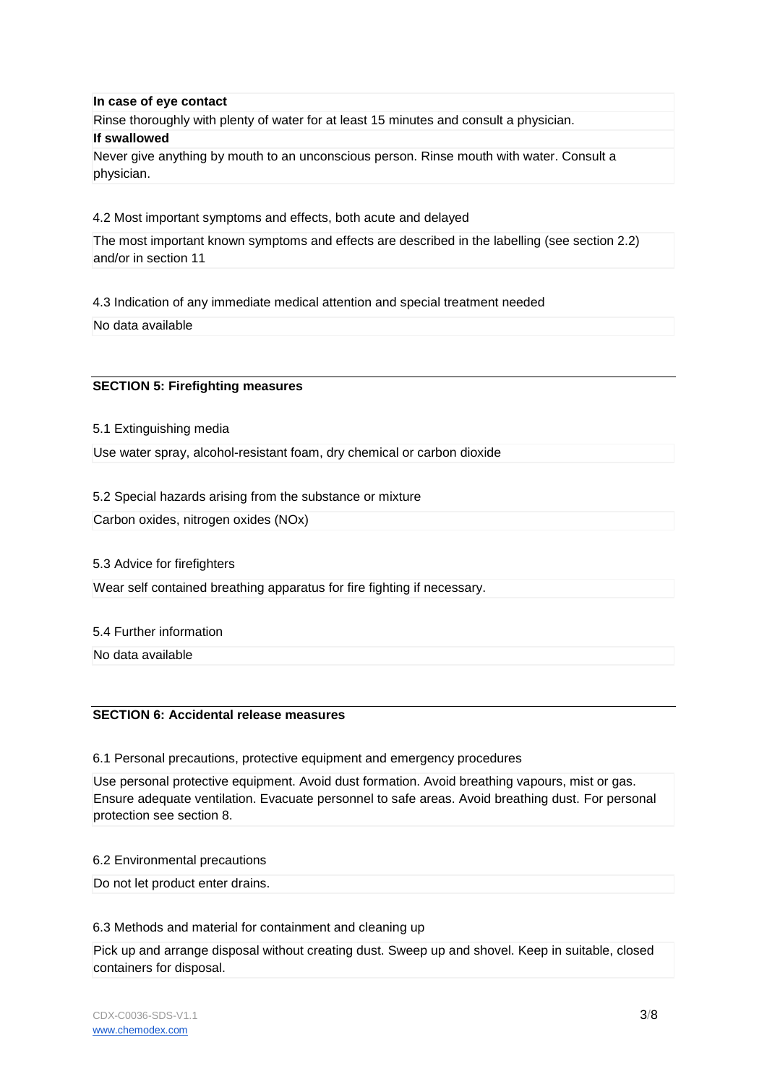#### **In case of eye contact**

Rinse thoroughly with plenty of water for at least 15 minutes and consult a physician.

#### **If swallowed**

Never give anything by mouth to an unconscious person. Rinse mouth with water. Consult a physician.

4.2 Most important symptoms and effects, both acute and delayed

The most important known symptoms and effects are described in the labelling (see section 2.2) and/or in section 11

4.3 Indication of any immediate medical attention and special treatment needed

No data available

#### **SECTION 5: Firefighting measures**

5.1 Extinguishing media

Use water spray, alcohol-resistant foam, dry chemical or carbon dioxide

5.2 Special hazards arising from the substance or mixture

Carbon oxides, nitrogen oxides (NOx)

5.3 Advice for firefighters

Wear self contained breathing apparatus for fire fighting if necessary.

5.4 Further information

No data available

## **SECTION 6: Accidental release measures**

6.1 Personal precautions, protective equipment and emergency procedures

Use personal protective equipment. Avoid dust formation. Avoid breathing vapours, mist or gas. Ensure adequate ventilation. Evacuate personnel to safe areas. Avoid breathing dust. For personal protection see section 8.

#### 6.2 Environmental precautions

Do not let product enter drains.

6.3 Methods and material for containment and cleaning up

Pick up and arrange disposal without creating dust. Sweep up and shovel. Keep in suitable, closed containers for disposal.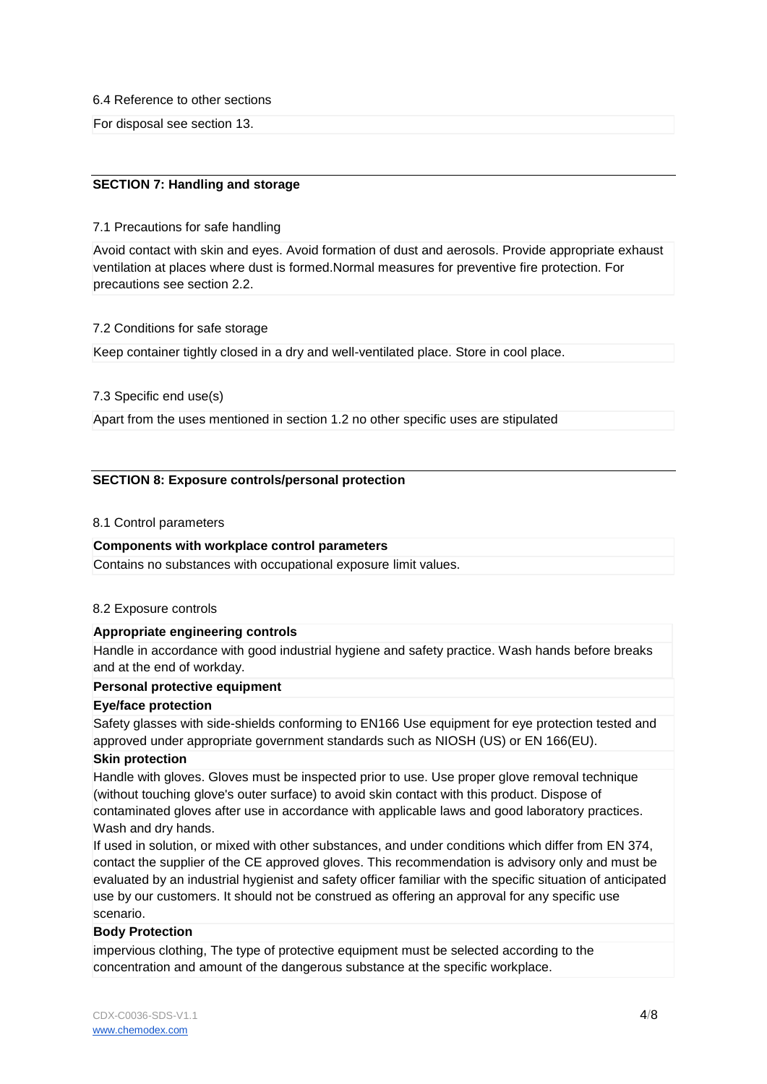6.4 Reference to other sections

For disposal see section 13.

## **SECTION 7: Handling and storage**

#### 7.1 Precautions for safe handling

Avoid contact with skin and eyes. Avoid formation of dust and aerosols. Provide appropriate exhaust ventilation at places where dust is formed.Normal measures for preventive fire protection. For precautions see section 2.2.

#### 7.2 Conditions for safe storage

Keep container tightly closed in a dry and well-ventilated place. Store in cool place.

#### 7.3 Specific end use(s)

Apart from the uses mentioned in section 1.2 no other specific uses are stipulated

#### **SECTION 8: Exposure controls/personal protection**

#### 8.1 Control parameters

#### **Components with workplace control parameters**

Contains no substances with occupational exposure limit values.

#### 8.2 Exposure controls

#### **Appropriate engineering controls**

Handle in accordance with good industrial hygiene and safety practice. Wash hands before breaks and at the end of workday.

#### **Personal protective equipment**

#### **Eye/face protection**

Safety glasses with side-shields conforming to EN166 Use equipment for eye protection tested and approved under appropriate government standards such as NIOSH (US) or EN 166(EU).

#### **Skin protection**

Handle with gloves. Gloves must be inspected prior to use. Use proper glove removal technique (without touching glove's outer surface) to avoid skin contact with this product. Dispose of contaminated gloves after use in accordance with applicable laws and good laboratory practices. Wash and dry hands.

If used in solution, or mixed with other substances, and under conditions which differ from EN 374, contact the supplier of the CE approved gloves. This recommendation is advisory only and must be evaluated by an industrial hygienist and safety officer familiar with the specific situation of anticipated use by our customers. It should not be construed as offering an approval for any specific use scenario.

#### **Body Protection**

impervious clothing, The type of protective equipment must be selected according to the concentration and amount of the dangerous substance at the specific workplace.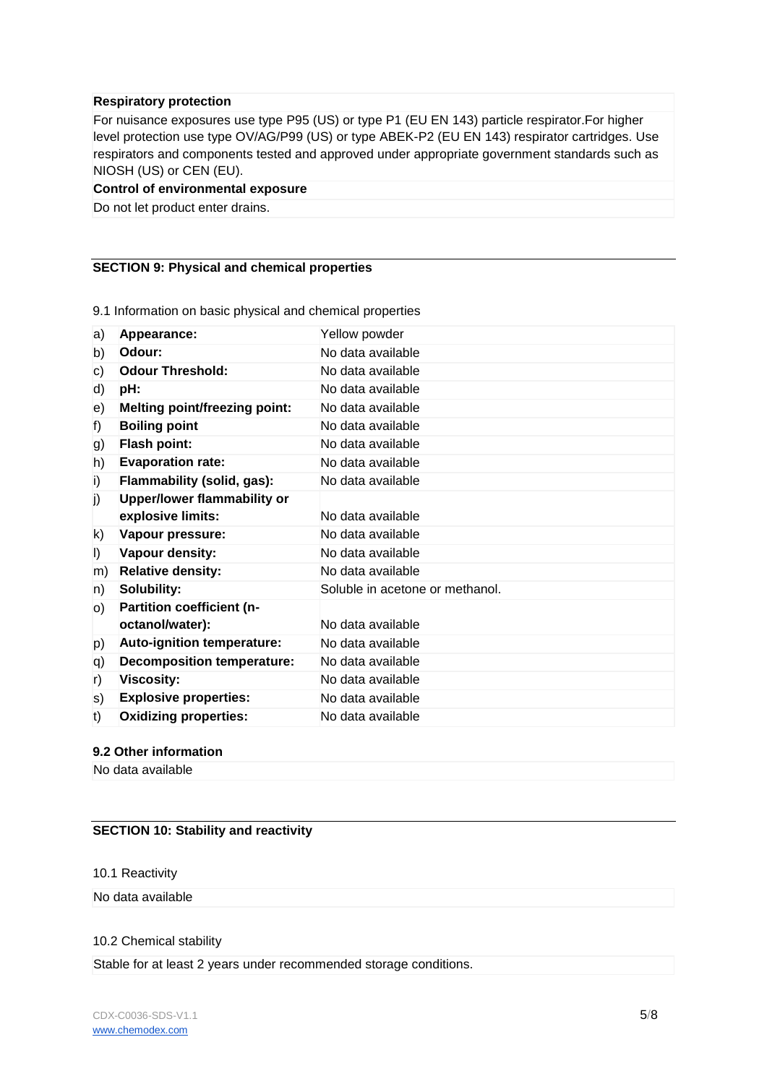#### **Respiratory protection**

For nuisance exposures use type P95 (US) or type P1 (EU EN 143) particle respirator.For higher level protection use type OV/AG/P99 (US) or type ABEK-P2 (EU EN 143) respirator cartridges. Use respirators and components tested and approved under appropriate government standards such as NIOSH (US) or CEN (EU).

#### **Control of environmental exposure**

Do not let product enter drains.

## **SECTION 9: Physical and chemical properties**

| a)      | Appearance:                          | Yellow powder                   |
|---------|--------------------------------------|---------------------------------|
| b)      | Odour:                               | No data available               |
| c)      | <b>Odour Threshold:</b>              | No data available               |
| d)      | pH:                                  | No data available               |
| e)      | <b>Melting point/freezing point:</b> | No data available               |
| f)      | <b>Boiling point</b>                 | No data available               |
| g)      | <b>Flash point:</b>                  | No data available               |
| h)      | <b>Evaporation rate:</b>             | No data available               |
| i)      | Flammability (solid, gas):           | No data available               |
| j)      | <b>Upper/lower flammability or</b>   |                                 |
|         | explosive limits:                    | No data available               |
| k)      | Vapour pressure:                     | No data available               |
| $\vert$ | Vapour density:                      | No data available               |
| m)      | <b>Relative density:</b>             | No data available               |
| n)      | Solubility:                          | Soluble in acetone or methanol. |
| O)      | <b>Partition coefficient (n-</b>     |                                 |
|         | octanol/water):                      | No data available               |
| p)      | Auto-ignition temperature:           | No data available               |
| q)      | <b>Decomposition temperature:</b>    | No data available               |
| r)      | <b>Viscosity:</b>                    | No data available               |
| s)      | <b>Explosive properties:</b>         | No data available               |
| t)      | <b>Oxidizing properties:</b>         | No data available               |

9.1 Information on basic physical and chemical properties

#### **9.2 Other information**

No data available

## **SECTION 10: Stability and reactivity**

#### 10.1 Reactivity

No data available

#### 10.2 Chemical stability

Stable for at least 2 years under recommended storage conditions.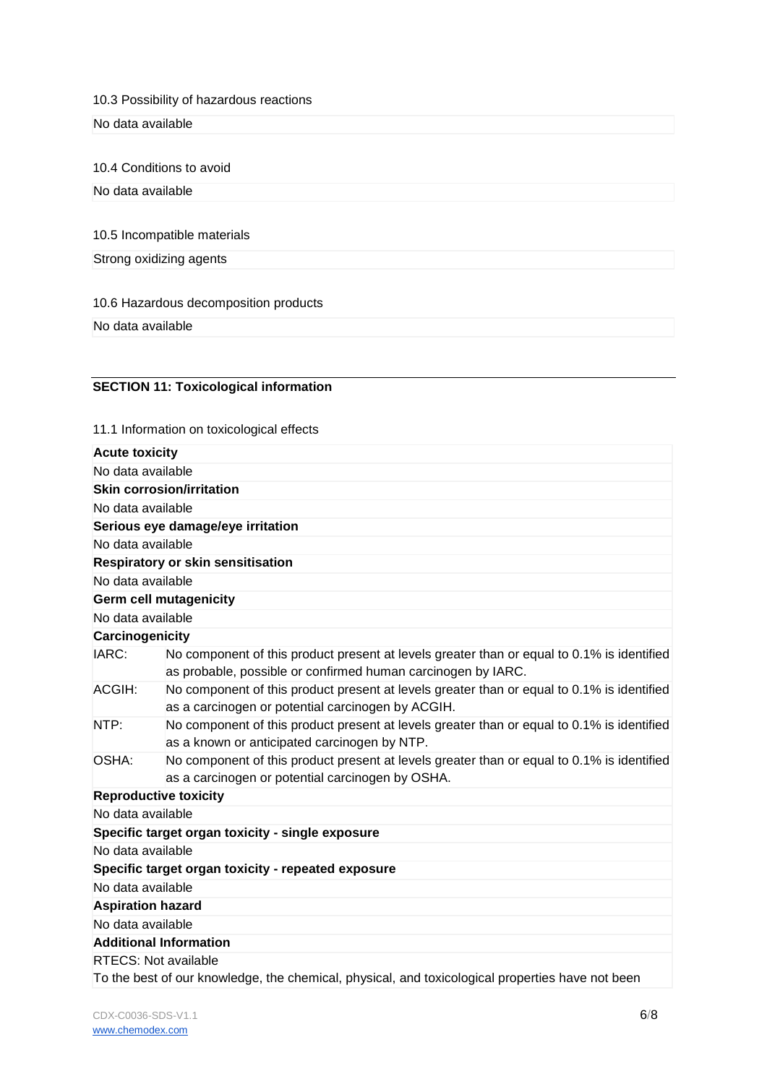10.3 Possibility of hazardous reactions

No data available

10.4 Conditions to avoid

No data available

10.5 Incompatible materials

Strong oxidizing agents

10.6 Hazardous decomposition products

No data available

## **SECTION 11: Toxicological information**

11.1 Information on toxicological effects

| <b>Acute toxicity</b>                                                                            |                                                                                                                                                            |
|--------------------------------------------------------------------------------------------------|------------------------------------------------------------------------------------------------------------------------------------------------------------|
| No data available                                                                                |                                                                                                                                                            |
| <b>Skin corrosion/irritation</b>                                                                 |                                                                                                                                                            |
| No data available                                                                                |                                                                                                                                                            |
| Serious eye damage/eye irritation                                                                |                                                                                                                                                            |
| No data available                                                                                |                                                                                                                                                            |
| <b>Respiratory or skin sensitisation</b>                                                         |                                                                                                                                                            |
| No data available                                                                                |                                                                                                                                                            |
| <b>Germ cell mutagenicity</b>                                                                    |                                                                                                                                                            |
| No data available                                                                                |                                                                                                                                                            |
| Carcinogenicity                                                                                  |                                                                                                                                                            |
| IARC:                                                                                            | No component of this product present at levels greater than or equal to 0.1% is identified<br>as probable, possible or confirmed human carcinogen by IARC. |
| ACGIH:                                                                                           | No component of this product present at levels greater than or equal to 0.1% is identified<br>as a carcinogen or potential carcinogen by ACGIH.            |
| NTP:                                                                                             | No component of this product present at levels greater than or equal to 0.1% is identified<br>as a known or anticipated carcinogen by NTP.                 |
| OSHA:                                                                                            | No component of this product present at levels greater than or equal to 0.1% is identified<br>as a carcinogen or potential carcinogen by OSHA.             |
| <b>Reproductive toxicity</b>                                                                     |                                                                                                                                                            |
| No data available                                                                                |                                                                                                                                                            |
| Specific target organ toxicity - single exposure                                                 |                                                                                                                                                            |
| No data available                                                                                |                                                                                                                                                            |
| Specific target organ toxicity - repeated exposure                                               |                                                                                                                                                            |
| No data available                                                                                |                                                                                                                                                            |
| <b>Aspiration hazard</b>                                                                         |                                                                                                                                                            |
| No data available                                                                                |                                                                                                                                                            |
| <b>Additional Information</b>                                                                    |                                                                                                                                                            |
| <b>RTECS: Not available</b>                                                                      |                                                                                                                                                            |
| To the best of our knowledge, the chemical, physical, and toxicological properties have not been |                                                                                                                                                            |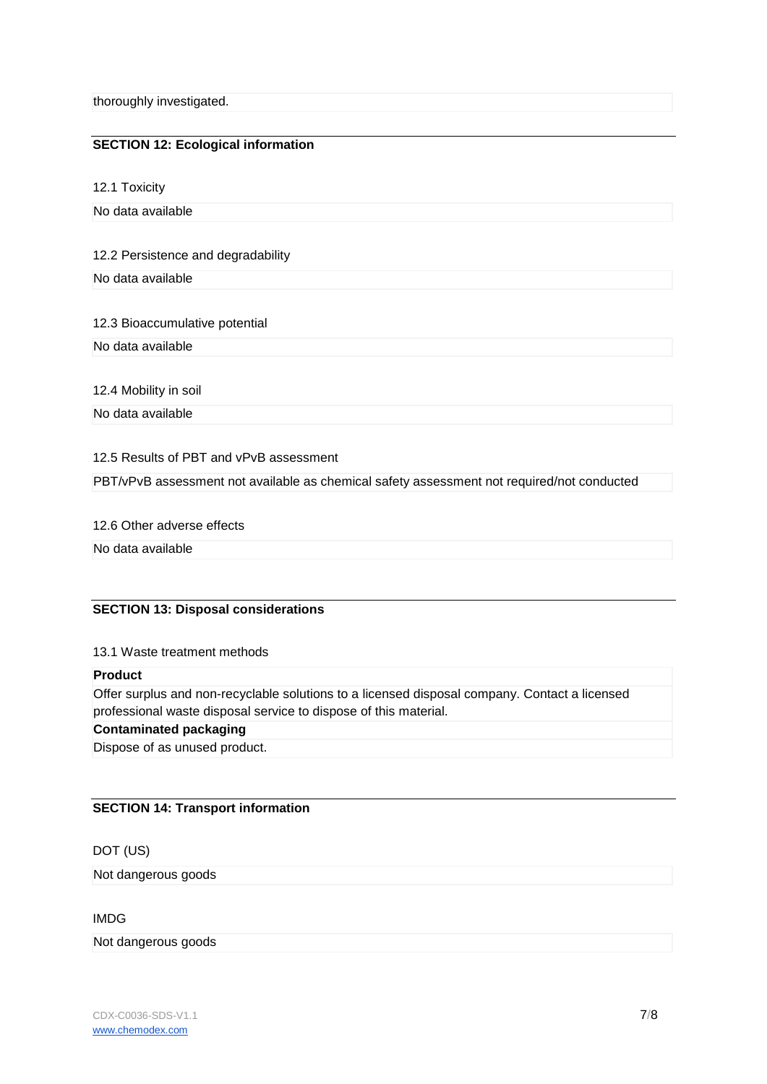thoroughly investigated.

## **SECTION 12: Ecological information**

12.1 Toxicity

No data available

#### 12.2 Persistence and degradability

No data available

#### 12.3 Bioaccumulative potential

No data available

12.4 Mobility in soil

No data available

## 12.5 Results of PBT and vPvB assessment

PBT/vPvB assessment not available as chemical safety assessment not required/not conducted

#### 12.6 Other adverse effects

No data available

## **SECTION 13: Disposal considerations**

#### 13.1 Waste treatment methods

#### **Product**

Offer surplus and non-recyclable solutions to a licensed disposal company. Contact a licensed professional waste disposal service to dispose of this material.

## **Contaminated packaging**

Dispose of as unused product.

## **SECTION 14: Transport information**

## DOT (US)

Not dangerous goods

IMDG

#### Not dangerous goods